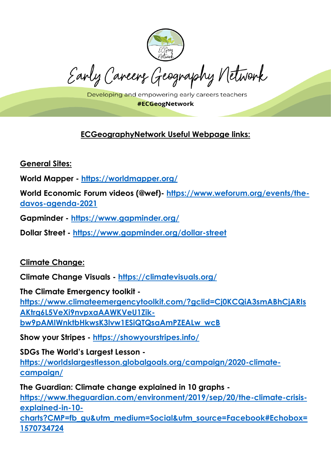

Early Careers Geography Network

Developing and empowering early careers teachers **#ECGeogNetwork** 

# **ECGeographyNetwork Useful Webpage links:**

**General Sites:** 

**World Mapper - <https://worldmapper.org/>**

**World Economic Forum videos (@wef)- [https://www.weforum.org/events/the](https://www.weforum.org/events/the-davos-agenda-2021)[davos-agenda-2021](https://www.weforum.org/events/the-davos-agenda-2021)**

**Gapminder - <https://www.gapminder.org/>**

**Dollar Street - <https://www.gapminder.org/dollar-street>**

### **Climate Change:**

**Climate Change Visuals - <https://climatevisuals.org/>**

**The Climate Emergency toolkit [https://www.climateemergencytoolkit.com/?gclid=Cj0KCQiA3smABhCjARIs](https://www.climateemergencytoolkit.com/?gclid=Cj0KCQiA3smABhCjARIsAKtrg6L5VeXi9nvpxaAAWKVeU1Zik-bw9pAMIWnktbHkwsK3lvw1ESiQTQsaAmPZEALw_wcB) [AKtrg6L5VeXi9nvpxaAAWKVeU1Zik](https://www.climateemergencytoolkit.com/?gclid=Cj0KCQiA3smABhCjARIsAKtrg6L5VeXi9nvpxaAAWKVeU1Zik-bw9pAMIWnktbHkwsK3lvw1ESiQTQsaAmPZEALw_wcB)[bw9pAMIWnktbHkwsK3lvw1ESiQTQsaAmPZEALw\\_wcB](https://www.climateemergencytoolkit.com/?gclid=Cj0KCQiA3smABhCjARIsAKtrg6L5VeXi9nvpxaAAWKVeU1Zik-bw9pAMIWnktbHkwsK3lvw1ESiQTQsaAmPZEALw_wcB)**

**Show your Stripes - <https://showyourstripes.info/>**

**SDGs The World's Largest Lesson -**

**[https://worldslargestlesson.globalgoals.org/campaign/2020-climate](https://worldslargestlesson.globalgoals.org/campaign/2020-climate-campaign/)[campaign/](https://worldslargestlesson.globalgoals.org/campaign/2020-climate-campaign/)**

**The Guardian: Climate change explained in 10 graphs [https://www.theguardian.com/environment/2019/sep/20/the-climate-crisis](https://www.theguardian.com/environment/2019/sep/20/the-climate-crisis-explained-in-10-charts?CMP=fb_gu&utm_medium=Social&utm_source=Facebook#Echobox=1570734724)[explained-in-10-](https://www.theguardian.com/environment/2019/sep/20/the-climate-crisis-explained-in-10-charts?CMP=fb_gu&utm_medium=Social&utm_source=Facebook#Echobox=1570734724)**

**[charts?CMP=fb\\_gu&utm\\_medium=Social&utm\\_source=Facebook#Echobox=](https://www.theguardian.com/environment/2019/sep/20/the-climate-crisis-explained-in-10-charts?CMP=fb_gu&utm_medium=Social&utm_source=Facebook#Echobox=1570734724) [1570734724](https://www.theguardian.com/environment/2019/sep/20/the-climate-crisis-explained-in-10-charts?CMP=fb_gu&utm_medium=Social&utm_source=Facebook#Echobox=1570734724)**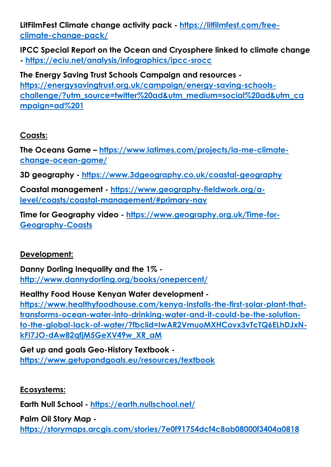**LitFilmFest Climate change activity pack - [https://litfilmfest.com/free](https://litfilmfest.com/free-climate-change-pack/)[climate-change-pack/](https://litfilmfest.com/free-climate-change-pack/)**

**IPCC Special Report on the Ocean and Cryosphere linked to climate change - <https://eciu.net/analysis/infographics/ipcc-srocc>**

**The Energy Saving Trust Schools Campaign and resources [https://energysavingtrust.org.uk/campaign/energy-saving-schools](https://energysavingtrust.org.uk/campaign/energy-saving-schools-challenge/?utm_source=twitter%20ad&utm_medium=social%20ad&utm_campaign=ad%201)[challenge/?utm\\_source=twitter%20ad&utm\\_medium=social%20ad&utm\\_ca](https://energysavingtrust.org.uk/campaign/energy-saving-schools-challenge/?utm_source=twitter%20ad&utm_medium=social%20ad&utm_campaign=ad%201) [mpaign=ad%201](https://energysavingtrust.org.uk/campaign/energy-saving-schools-challenge/?utm_source=twitter%20ad&utm_medium=social%20ad&utm_campaign=ad%201)**

### **Coasts:**

**The Oceans Game – [https://www.latimes.com/projects/la-me-climate](https://www.latimes.com/projects/la-me-climate-change-ocean-game/)[change-ocean-game/](https://www.latimes.com/projects/la-me-climate-change-ocean-game/)**

**3D geography - <https://www.3dgeography.co.uk/coastal-geography>**

**Coastal management - [https://www.geography-fieldwork.org/a](https://www.geography-fieldwork.org/a-level/coasts/coastal-management/#primary-nav)[level/coasts/coastal-management/#primary-nav](https://www.geography-fieldwork.org/a-level/coasts/coastal-management/#primary-nav)**

**Time for Geography video - [https://www.geography.org.uk/Time-for-](https://www.geography.org.uk/Time-for-Geography-Coasts)[Geography-Coasts](https://www.geography.org.uk/Time-for-Geography-Coasts)**

### **Development:**

**Danny Dorling Inequality and the 1% <http://www.dannydorling.org/books/onepercent/>**

**Healthy Food House Kenyan Water development [https://www.healthyfoodhouse.com/kenya-installs-the-first-solar-plant-that](https://www.healthyfoodhouse.com/kenya-installs-the-first-solar-plant-that-transforms-ocean-water-into-drinking-water-and-it-could-be-the-solution-to-the-global-lack-of-water/?fbclid=IwAR2VmuoMXHCovx3vTcTQ6ELhDJxN-kFI7JO-dAw82qfjM5GeXV49w_XR_aM)[transforms-ocean-water-into-drinking-water-and-it-could-be-the-solution](https://www.healthyfoodhouse.com/kenya-installs-the-first-solar-plant-that-transforms-ocean-water-into-drinking-water-and-it-could-be-the-solution-to-the-global-lack-of-water/?fbclid=IwAR2VmuoMXHCovx3vTcTQ6ELhDJxN-kFI7JO-dAw82qfjM5GeXV49w_XR_aM)[to-the-global-lack-of-water/?fbclid=IwAR2VmuoMXHCovx3vTcTQ6ELhDJxN](https://www.healthyfoodhouse.com/kenya-installs-the-first-solar-plant-that-transforms-ocean-water-into-drinking-water-and-it-could-be-the-solution-to-the-global-lack-of-water/?fbclid=IwAR2VmuoMXHCovx3vTcTQ6ELhDJxN-kFI7JO-dAw82qfjM5GeXV49w_XR_aM)[kFI7JO-dAw82qfjM5GeXV49w\\_XR\\_aM](https://www.healthyfoodhouse.com/kenya-installs-the-first-solar-plant-that-transforms-ocean-water-into-drinking-water-and-it-could-be-the-solution-to-the-global-lack-of-water/?fbclid=IwAR2VmuoMXHCovx3vTcTQ6ELhDJxN-kFI7JO-dAw82qfjM5GeXV49w_XR_aM)**

**Get up and goals Geo-History Textbook <https://www.getupandgoals.eu/resources/textbook>**

**Ecosystems:** 

**Earth Null School - <https://earth.nullschool.net/>**

**Palm Oil Story Map <https://storymaps.arcgis.com/stories/7e0f91754dcf4c8ab08000f3404a0818>**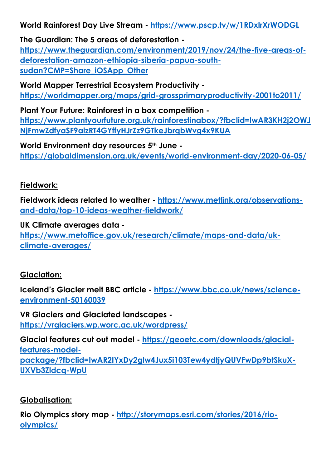**World Rainforest Day Live Stream - <https://www.pscp.tv/w/1RDxlrXrWODGL>**

**The Guardian: The 5 areas of deforestation [https://www.theguardian.com/environment/2019/nov/24/the-five-areas-of](https://www.theguardian.com/environment/2019/nov/24/the-five-areas-of-deforestation-amazon-ethiopia-siberia-papua-south-sudan?CMP=Share_iOSApp_Other)[deforestation-amazon-ethiopia-siberia-papua-south](https://www.theguardian.com/environment/2019/nov/24/the-five-areas-of-deforestation-amazon-ethiopia-siberia-papua-south-sudan?CMP=Share_iOSApp_Other)**[sudan?CMP=Share\\_iOSApp\\_Other](https://www.theguardian.com/environment/2019/nov/24/the-five-areas-of-deforestation-amazon-ethiopia-siberia-papua-south-sudan?CMP=Share_iOSApp_Other)

**World Mapper Terrestrial Ecosystem Productivity <https://worldmapper.org/maps/grid-grossprimaryproductivity-2001to2011/>**

**Plant Your Future: Rainforest in a box competition [https://www.plantyourfuture.org.uk/rainforestinabox/?fbclid=IwAR3KH2j2OWJ](https://www.plantyourfuture.org.uk/rainforestinabox/?fbclid=IwAR3KH2j2OWJNjFmwZdfyaSF9alzRT4GYffyHJrZz9GTkeJbrqbWvg4x9KUA) [NjFmwZdfyaSF9alzRT4GYffyHJrZz9GTkeJbrqbWvg4x9KUA](https://www.plantyourfuture.org.uk/rainforestinabox/?fbclid=IwAR3KH2j2OWJNjFmwZdfyaSF9alzRT4GYffyHJrZz9GTkeJbrqbWvg4x9KUA)**

**World Environment day resources 5th June <https://globaldimension.org.uk/events/world-environment-day/2020-06-05/>**

#### **Fieldwork:**

**Fieldwork ideas related to weather - [https://www.metlink.org/observations](https://www.metlink.org/observations-and-data/top-10-ideas-weather-fieldwork/)[and-data/top-10-ideas-weather-fieldwork/](https://www.metlink.org/observations-and-data/top-10-ideas-weather-fieldwork/)**

**UK Climate averages data [https://www.metoffice.gov.uk/research/climate/maps-and-data/uk](https://www.metoffice.gov.uk/research/climate/maps-and-data/uk-climate-averages/)[climate-averages/](https://www.metoffice.gov.uk/research/climate/maps-and-data/uk-climate-averages/)**

# **Glaciation:**

**Iceland's Glacier melt BBC article - [https://www.bbc.co.uk/news/science](https://www.bbc.co.uk/news/science-environment-50160039)[environment-50160039](https://www.bbc.co.uk/news/science-environment-50160039)**

**VR Glaciers and Glaciated landscapes <https://vrglaciers.wp.worc.ac.uk/wordpress/>**

**Glacial features cut out model - [https://geoetc.com/downloads/glacial](https://geoetc.com/downloads/glacial-features-model-package/?fbclid=IwAR2IYxDy2glw4Jux5i103Tew4ydtjyQUVFwDp9btSkuX-UXVb3Zldcq-WpU)[features-model](https://geoetc.com/downloads/glacial-features-model-package/?fbclid=IwAR2IYxDy2glw4Jux5i103Tew4ydtjyQUVFwDp9btSkuX-UXVb3Zldcq-WpU)[package/?fbclid=IwAR2IYxDy2glw4Jux5i103Tew4ydtjyQUVFwDp9btSkuX-](https://geoetc.com/downloads/glacial-features-model-package/?fbclid=IwAR2IYxDy2glw4Jux5i103Tew4ydtjyQUVFwDp9btSkuX-UXVb3Zldcq-WpU)[UXVb3Zldcq-WpU](https://geoetc.com/downloads/glacial-features-model-package/?fbclid=IwAR2IYxDy2glw4Jux5i103Tew4ydtjyQUVFwDp9btSkuX-UXVb3Zldcq-WpU)**

### **Globalisation:**

**Rio Olympics story map - [http://storymaps.esri.com/stories/2016/rio](http://storymaps.esri.com/stories/2016/rio-olympics/)[olympics/](http://storymaps.esri.com/stories/2016/rio-olympics/)**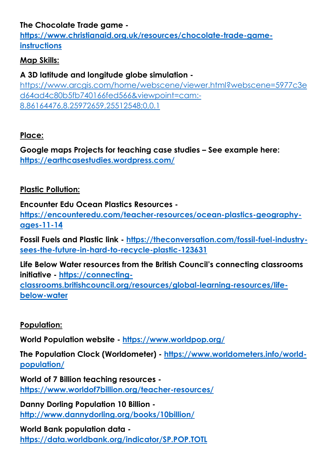# **The Chocolate Trade game -**

**[https://www.christianaid.org.uk/resources/chocolate-trade-game](https://www.christianaid.org.uk/resources/chocolate-trade-game-instructions)[instructions](https://www.christianaid.org.uk/resources/chocolate-trade-game-instructions)**

#### **Map Skills:**

# **A 3D latitude and longitude globe simulation -**

[https://www.arcgis.com/home/webscene/viewer.html?webscene=5977c3e](https://www.arcgis.com/home/webscene/viewer.html?webscene=5977c3ed64ad4c80b5fb740166fed566&viewpoint=cam:-8.86164476,8.25972659,25512548;0,0.1) [d64ad4c80b5fb740166fed566&viewpoint=cam:-](https://www.arcgis.com/home/webscene/viewer.html?webscene=5977c3ed64ad4c80b5fb740166fed566&viewpoint=cam:-8.86164476,8.25972659,25512548;0,0.1) [8.86164476,8.25972659,25512548;0,0.1](https://www.arcgis.com/home/webscene/viewer.html?webscene=5977c3ed64ad4c80b5fb740166fed566&viewpoint=cam:-8.86164476,8.25972659,25512548;0,0.1)

### **Place:**

**Google maps Projects for teaching case studies – See example here: <https://earthcasestudies.wordpress.com/>**

#### **Plastic Pollution:**

**Encounter Edu Ocean Plastics Resources -**

**[https://encounteredu.com/teacher-resources/ocean-plastics-geography](https://encounteredu.com/teacher-resources/ocean-plastics-geography-ages-11-14)[ages-11-14](https://encounteredu.com/teacher-resources/ocean-plastics-geography-ages-11-14)**

**Fossil Fuels and Plastic link - [https://theconversation.com/fossil-fuel-industry](https://theconversation.com/fossil-fuel-industry-sees-the-future-in-hard-to-recycle-plastic-123631)[sees-the-future-in-hard-to-recycle-plastic-123631](https://theconversation.com/fossil-fuel-industry-sees-the-future-in-hard-to-recycle-plastic-123631)**

**Life Below Water resources from the British Council's connecting classrooms initiative - [https://connecting](https://connecting-classrooms.britishcouncil.org/resources/global-learning-resources/life-below-water)[classrooms.britishcouncil.org/resources/global-learning-resources/life](https://connecting-classrooms.britishcouncil.org/resources/global-learning-resources/life-below-water)[below-water](https://connecting-classrooms.britishcouncil.org/resources/global-learning-resources/life-below-water)**

### **Population:**

**World Population website - <https://www.worldpop.org/>**

**The Population Clock (Worldometer) - [https://www.worldometers.info/world](https://www.worldometers.info/world-population/)[population/](https://www.worldometers.info/world-population/)**

**World of 7 Billion teaching resources <https://www.worldof7billion.org/teacher-resources/>**

**Danny Dorling Population 10 Billion <http://www.dannydorling.org/books/10billion/>**

**World Bank population data <https://data.worldbank.org/indicator/SP.POP.TOTL>**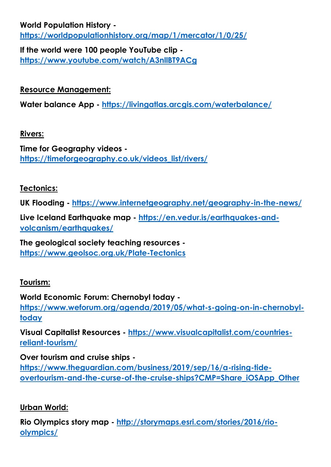### **World Population History <https://worldpopulationhistory.org/map/1/mercator/1/0/25/>**

**If the world were 100 people YouTube clip <https://www.youtube.com/watch/A3nllBT9ACg>**

# **Resource Management:**

**Water balance App - <https://livingatlas.arcgis.com/waterbalance/>**

#### **Rivers:**

**Time for Geography videos [https://timeforgeography.co.uk/videos\\_list/rivers/](https://timeforgeography.co.uk/videos_list/rivers/)**

# **Tectonics:**

**UK Flooding - <https://www.internetgeography.net/geography-in-the-news/>**

**Live Iceland Earthquake map - [https://en.vedur.is/earthquakes-and](https://en.vedur.is/earthquakes-and-volcanism/earthquakes/)[volcanism/earthquakes/](https://en.vedur.is/earthquakes-and-volcanism/earthquakes/)**

**The geological society teaching resources <https://www.geolsoc.org.uk/Plate-Tectonics>**

# **Tourism:**

### **World Economic Forum: Chernobyl today -**

**[https://www.weforum.org/agenda/2019/05/what-s-going-on-in-chernobyl](https://www.weforum.org/agenda/2019/05/what-s-going-on-in-chernobyl-today)[today](https://www.weforum.org/agenda/2019/05/what-s-going-on-in-chernobyl-today)**

**Visual Capitalist Resources - [https://www.visualcapitalist.com/countries](https://www.visualcapitalist.com/countries-reliant-tourism/)[reliant-tourism/](https://www.visualcapitalist.com/countries-reliant-tourism/)**

**Over tourism and cruise ships -**

**[https://www.theguardian.com/business/2019/sep/16/a-rising-tide](https://www.theguardian.com/business/2019/sep/16/a-rising-tide-overtourism-and-the-curse-of-the-cruise-ships?CMP=Share_iOSApp_Other)[overtourism-and-the-curse-of-the-cruise-ships?CMP=Share\\_iOSApp\\_Other](https://www.theguardian.com/business/2019/sep/16/a-rising-tide-overtourism-and-the-curse-of-the-cruise-ships?CMP=Share_iOSApp_Other)**

# **Urban World:**

**Rio Olympics story map - [http://storymaps.esri.com/stories/2016/rio](http://storymaps.esri.com/stories/2016/rio-olympics/)[olympics/](http://storymaps.esri.com/stories/2016/rio-olympics/)**